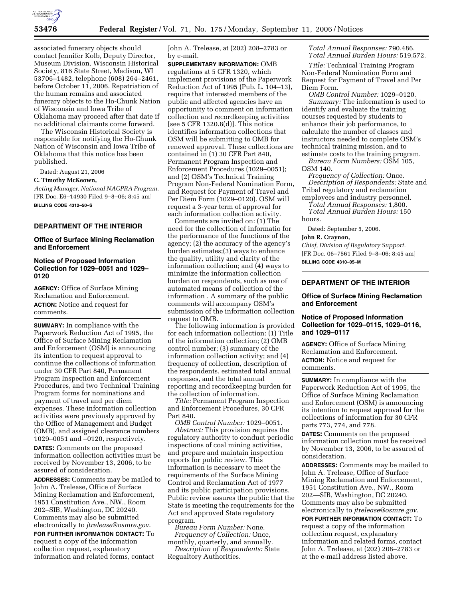

associated funerary objects should contact Jennifer Kolb, Deputy Director, Museum Division, Wisconsin Historical Society, 816 State Street, Madison, WI 53706–1482, telephone (608) 264–2461, before October 11, 2006. Repatriation of the human remains and associated funerary objects to the Ho-Chunk Nation of Wisconsin and Iowa Tribe of Oklahoma may proceed after that date if no additional claimants come forward.

The Wisconsin Historical Society is responsible for notifying the Ho-Chunk Nation of Wisconsin and Iowa Tribe of Oklahoma that this notice has been published.

Dated: August 21, 2006

#### **C. Timothy McKeown,**

*Acting Manager, National NAGPRA Program.*  [FR Doc. E6–14930 Filed 9–8–06; 8:45 am] **BILLING CODE 4312–50–S** 

## **DEPARTMENT OF THE INTERIOR**

## **Office of Surface Mining Reclamation and Enforcement**

## **Notice of Proposed Information Collection for 1029–0051 and 1029– 0120**

**AGENCY:** Office of Surface Mining Reclamation and Enforcement. **ACTION:** Notice and request for comments.

**SUMMARY:** In compliance with the Paperwork Reduction Act of 1995, the Office of Surface Mining Reclamation and Enforcement (OSM) is announcing its intention to request approval to continue the collections of information under 30 CFR Part 840, Permanent Program Inspection and Enforcement Procedures, and two Technical Training Program forms for nominations and payment of travel and per diem expenses. These information collection activities were previously approved by the Office of Management and Budget (OMB), and assigned clearance numbers 1029–0051 and –0120, respectively. **DATES:** Comments on the proposed information collection activities must be received by November 13, 2006, to be assured of consideration.

**ADDRESSES:** Comments may be mailed to John A. Trelease, Office of Surface Mining Reclamation and Enforcement, 1951 Constitution Ave., NW., Room 202–SIB, Washington, DC 20240. Comments may also be submitted electronically to *jtrelease@osmre.gov*.

**FOR FURTHER INFORMATION CONTACT:** To request a copy of the information collection request, explanatory information and related forms, contact

John A. Trelease, at (202) 208–2783 or by e-mail.

**SUPPLEMENTARY INFORMATION:** OMB regulations at 5 CFR 1320, which implement provisions of the Paperwork Reduction Act of 1995 (Pub. L. 104–13), require that interested members of the public and affected agencies have an opportunity to comment on information collection and recordkeeping activities [see 5 CFR 1320.8(d)]. This notice identifies information collections that OSM will be submitting to OMB for renewed approval. These collections are contained in (1) 30 CFR Part 840, Permanent Program Inspection and Enforcement Procedures (1029–0051); and (2) OSM's Technical Training Program Non-Federal Nomination Form, and Request for Payment of Travel and Per Diem Form (1029–0120). OSM will request a 3-year term of approval for each information collection activity.

Comments are invited on: (1) The need for the collection of informatio for the performance of the functions of the agency; (2) the accuracy of the agency's burden estimates;(3) ways to enhance the quality, utility and clarity of the information collection; and (4) ways to minimize the information collection burden on respondents, such as use of automated means of collection of the information . A summary of the public comments will accompany OSM's submission of the information collection request to OMB.

The following information is provided for each information collection: (1) Title of the information collection; (2) OMB control number; (3) summary of the information collection activity; and (4) frequency of collection, description of the respondents, estimated total annual responses, and the total annual reporting and recordkeeping burden for the collection of information.

*Title:* Permanent Program Inspection and Enforcement Procedures, 30 CFR Part 840.

*OMB Control Number:* 1029–0051. *Abstract:* This provision requires the regulatory authority to conduct periodic inspections of coal mining activities, and prepare and maintain inspection reports for public review. This information is necessary to meet the requirements of the Surface Mining Control and Reclamation Act of 1977 and its public participation provisions. Public review assures the public that the State is meeting the requirements for the Act and approved State regulatory program.

*Bureau Form Number:* None. *Frequency of Collection:* Once, monthly, quarterly, and annually.

*Description of Respondents:* State Regualtory Authorities.

*Total Annual Responses:* 790,486. *Total Annual Burden Hours:* 519,572.

*Title:* Technical Training Program Non-Federal Nomination Form and Request for Payment of Travel and Per Diem Form.

*OMB Control Number:* 1029–0120. *Summary:* The information is used to identify and evaluate the training courses requested by students to enhance their job performance, to calculate the number of classes and instructors needed to complete OSM's technical training mission, and to estimate costs to the training program.

*Bureau Form Numbers:* OSM 105, OSM 140.

*Frequency of Collection:* Once. *Description of Respondents:* State and Tribal regulatory and reclamation

employees and industry personnel. *Total Annual Responses:* 1,800. *Total Annual Burden Hours:* 150

hours.

Dated: September 5, 2006.

#### **John R. Craynon,**

*Chief, Division of Regulatory Support.*  [FR Doc. 06–7561 Filed 9–8–06; 8:45 am] **BILLING CODE 4310–05–M** 

## **DEPARTMENT OF THE INTERIOR**

#### **Office of Surface Mining Reclamation and Enforcement**

## **Notice of Proposed Information Collection for 1029–0115, 1029–0116, and 1029–0117**

**AGENCY:** Office of Surface Mining Reclamation and Enforcement. **ACTION:** Notice and request for comments.

**SUMMARY:** In compliance with the Paperwork Reduction Act of 1995, the Office of Surface Mining Reclamation and Enforcement (OSM) is announcing its intention to request approval for the collections of information for 30 CFR parts 773, 774, and 778.

**DATES:** Comments on the proposed information collection must be received by November 13, 2006, to be assured of consideration.

**ADDRESSES:** Comments may be mailed to John A. Trelease, Office of Surface Mining Reclamation and Enforcement, 1951 Constitution Ave., NW., Room 202—SIB, Washington, DC 20240. Comments may also be submitted electronically to *jtrelease@osmre.gov.* 

**FOR FURTHER INFORMATION CONTACT:** To request a copy of the information collection request, explanatory information and related forms, contact John A. Trelease, at (202) 208–2783 or at the e-mail address listed above.